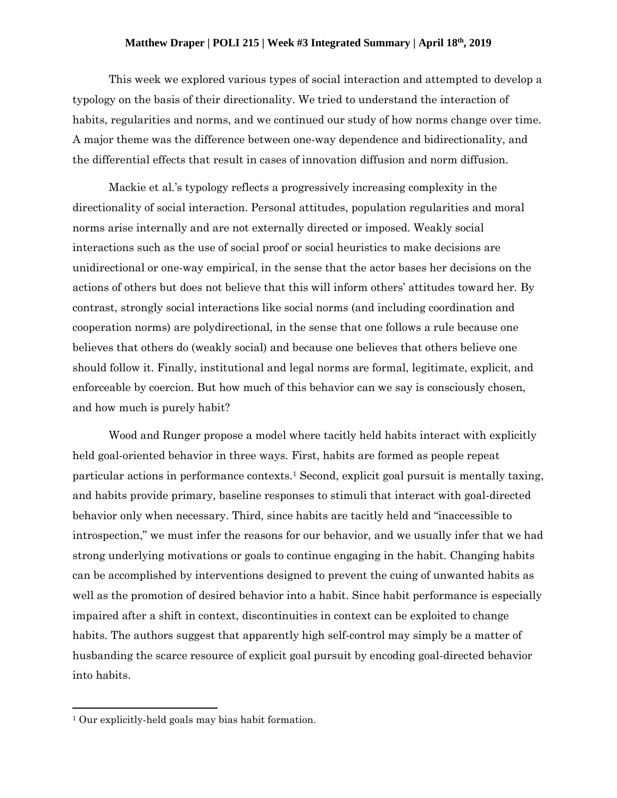## **Matthew Draper | POLI 215 | Week #3 Integrated Summary | April 18 th, 2019**

This week we explored various types of social interaction and attempted to develop a typology on the basis of their directionality. We tried to understand the interaction of habits, regularities and norms, and we continued our study of how norms change over time. A major theme was the difference between one-way dependence and bidirectionality, and the differential effects that result in cases of innovation diffusion and norm diffusion.

Mackie et al.'s typology reflects a progressively increasing complexity in the directionality of social interaction. Personal attitudes, population regularities and moral norms arise internally and are not externally directed or imposed. Weakly social interactions such as the use of social proof or social heuristics to make decisions are unidirectional or one-way empirical, in the sense that the actor bases her decisions on the actions of others but does not believe that this will inform others' attitudes toward her. By contrast, strongly social interactions like social norms (and including coordination and cooperation norms) are polydirectional, in the sense that one follows a rule because one believes that others do (weakly social) and because one believes that others believe one should follow it. Finally, institutional and legal norms are formal, legitimate, explicit, and enforceable by coercion. But how much of this behavior can we say is consciously chosen, and how much is purely habit?

Wood and Runger propose a model where tacitly held habits interact with explicitly held goal-oriented behavior in three ways. First, habits are formed as people repeat particular actions in performance contexts.<sup>1</sup> Second, explicit goal pursuit is mentally taxing, and habits provide primary, baseline responses to stimuli that interact with goal-directed behavior only when necessary. Third, since habits are tacitly held and "inaccessible to introspection," we must infer the reasons for our behavior, and we usually infer that we had strong underlying motivations or goals to continue engaging in the habit. Changing habits can be accomplished by interventions designed to prevent the cuing of unwanted habits as well as the promotion of desired behavior into a habit. Since habit performance is especially impaired after a shift in context, discontinuities in context can be exploited to change habits. The authors suggest that apparently high self-control may simply be a matter of husbanding the scarce resource of explicit goal pursuit by encoding goal-directed behavior into habits.

 $\overline{\phantom{a}}$ 

<sup>1</sup> Our explicitly-held goals may bias habit formation.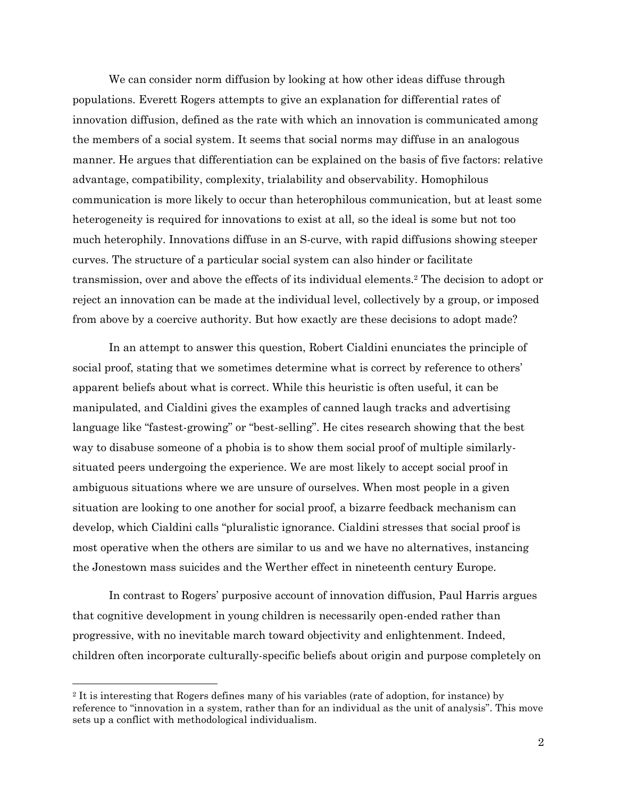We can consider norm diffusion by looking at how other ideas diffuse through populations. Everett Rogers attempts to give an explanation for differential rates of innovation diffusion, defined as the rate with which an innovation is communicated among the members of a social system. It seems that social norms may diffuse in an analogous manner. He argues that differentiation can be explained on the basis of five factors: relative advantage, compatibility, complexity, trialability and observability. Homophilous communication is more likely to occur than heterophilous communication, but at least some heterogeneity is required for innovations to exist at all, so the ideal is some but not too much heterophily. Innovations diffuse in an S-curve, with rapid diffusions showing steeper curves. The structure of a particular social system can also hinder or facilitate transmission, over and above the effects of its individual elements.<sup>2</sup> The decision to adopt or reject an innovation can be made at the individual level, collectively by a group, or imposed from above by a coercive authority. But how exactly are these decisions to adopt made?

In an attempt to answer this question, Robert Cialdini enunciates the principle of social proof, stating that we sometimes determine what is correct by reference to others' apparent beliefs about what is correct. While this heuristic is often useful, it can be manipulated, and Cialdini gives the examples of canned laugh tracks and advertising language like "fastest-growing" or "best-selling". He cites research showing that the best way to disabuse someone of a phobia is to show them social proof of multiple similarlysituated peers undergoing the experience. We are most likely to accept social proof in ambiguous situations where we are unsure of ourselves. When most people in a given situation are looking to one another for social proof, a bizarre feedback mechanism can develop, which Cialdini calls "pluralistic ignorance. Cialdini stresses that social proof is most operative when the others are similar to us and we have no alternatives, instancing the Jonestown mass suicides and the Werther effect in nineteenth century Europe.

In contrast to Rogers' purposive account of innovation diffusion, Paul Harris argues that cognitive development in young children is necessarily open-ended rather than progressive, with no inevitable march toward objectivity and enlightenment. Indeed, children often incorporate culturally-specific beliefs about origin and purpose completely on

l

<sup>2</sup> It is interesting that Rogers defines many of his variables (rate of adoption, for instance) by reference to "innovation in a system, rather than for an individual as the unit of analysis". This move sets up a conflict with methodological individualism.